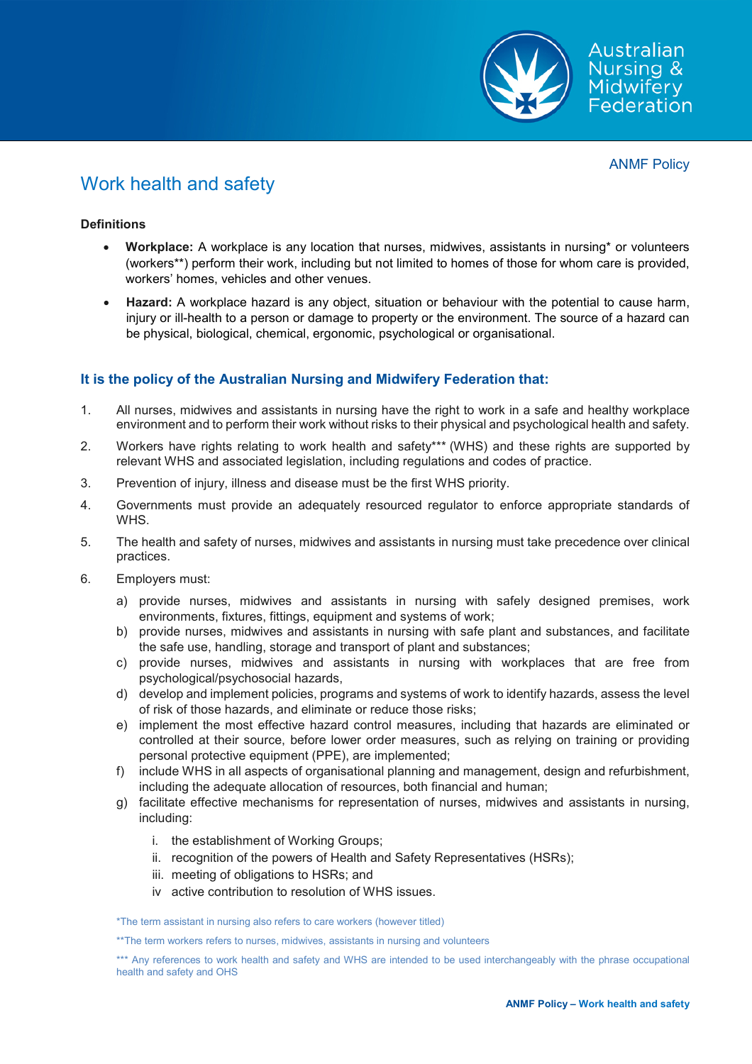

# Work health and safety

## **Definitions**

- **Workplace:** A workplace is any location that nurses, midwives, assistants in nursing\* or volunteers (workers\*\*) perform their work, including but not limited to homes of those for whom care is provided, workers' homes, vehicles and other venues.
- **Hazard:** A workplace hazard is any object, situation or behaviour with the potential to cause harm, injury or ill-health to a person or damage to property or the environment. The source of a hazard can be physical, biological, chemical, ergonomic, psychological or organisational.

# **It is the policy of the Australian Nursing and Midwifery Federation that:**

- 1. All nurses, midwives and assistants in nursing have the right to work in a safe and healthy workplace environment and to perform their work without risks to their physical and psychological health and safety.
- 2. Workers have rights relating to work health and safety\*\*\* (WHS) and these rights are supported by relevant WHS and associated legislation, including regulations and codes of practice.
- 3. Prevention of injury, illness and disease must be the first WHS priority.
- 4. Governments must provide an adequately resourced regulator to enforce appropriate standards of WHS.
- 5. The health and safety of nurses, midwives and assistants in nursing must take precedence over clinical practices.
- 6. Employers must:
	- a) provide nurses, midwives and assistants in nursing with safely designed premises, work environments, fixtures, fittings, equipment and systems of work;
	- b) provide nurses, midwives and assistants in nursing with safe plant and substances, and facilitate the safe use, handling, storage and transport of plant and substances;
	- c) provide nurses, midwives and assistants in nursing with workplaces that are free from psychological/psychosocial hazards,
	- d) develop and implement policies, programs and systems of work to identify hazards, assess the level of risk of those hazards, and eliminate or reduce those risks;
	- e) implement the most effective hazard control measures, including that hazards are eliminated or controlled at their source, before lower order measures, such as relying on training or providing personal protective equipment (PPE), are implemented;
	- f) include WHS in all aspects of organisational planning and management, design and refurbishment, including the adequate allocation of resources, both financial and human;
	- g) facilitate effective mechanisms for representation of nurses, midwives and assistants in nursing, including:
		- i. the establishment of Working Groups;
		- ii. recognition of the powers of Health and Safety Representatives (HSRs);
		- iii. meeting of obligations to HSRs; and
		- iv active contribution to resolution of WHS issues.

\*The term assistant in nursing also refers to care workers (however titled)

\*\*The term workers refers to nurses, midwives, assistants in nursing and volunteers

\*\*\* Any references to work health and safety and WHS are intended to be used interchangeably with the phrase occupational health and safety and OHS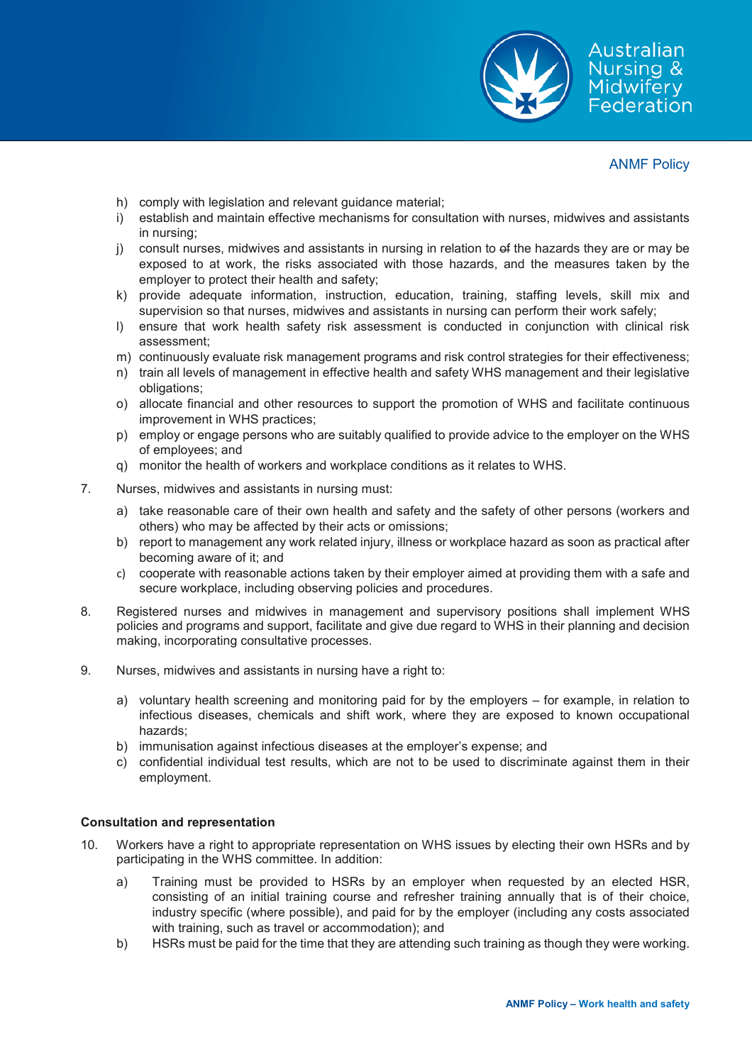

- h) comply with legislation and relevant guidance material;
- i) establish and maintain effective mechanisms for consultation with nurses, midwives and assistants in nursing;
- j) consult nurses, midwives and assistants in nursing in relation to of the hazards they are or may be exposed to at work, the risks associated with those hazards, and the measures taken by the employer to protect their health and safety;
- k) provide adequate information, instruction, education, training, staffing levels, skill mix and supervision so that nurses, midwives and assistants in nursing can perform their work safely;
- l) ensure that work health safety risk assessment is conducted in conjunction with clinical risk assessment;
- m) continuously evaluate risk management programs and risk control strategies for their effectiveness;
- n) train all levels of management in effective health and safety WHS management and their legislative obligations;
- o) allocate financial and other resources to support the promotion of WHS and facilitate continuous improvement in WHS practices;
- p) employ or engage persons who are suitably qualified to provide advice to the employer on the WHS of employees; and
- q) monitor the health of workers and workplace conditions as it relates to WHS.
- 7. Nurses, midwives and assistants in nursing must:
	- a) take reasonable care of their own health and safety and the safety of other persons (workers and others) who may be affected by their acts or omissions;
	- b) report to management any work related injury, illness or workplace hazard as soon as practical after becoming aware of it; and
	- c) cooperate with reasonable actions taken by their employer aimed at providing them with a safe and secure workplace, including observing policies and procedures.
- 8. Registered nurses and midwives in management and supervisory positions shall implement WHS policies and programs and support, facilitate and give due regard to WHS in their planning and decision making, incorporating consultative processes.
- 9. Nurses, midwives and assistants in nursing have a right to:
	- a) voluntary health screening and monitoring paid for by the employers for example, in relation to infectious diseases, chemicals and shift work, where they are exposed to known occupational hazards;
	- b) immunisation against infectious diseases at the employer's expense; and
	- c) confidential individual test results, which are not to be used to discriminate against them in their employment.

# **Consultation and representation**

- 10. Workers have a right to appropriate representation on WHS issues by electing their own HSRs and by participating in the WHS committee. In addition:
	- a) Training must be provided to HSRs by an employer when requested by an elected HSR, consisting of an initial training course and refresher training annually that is of their choice, industry specific (where possible), and paid for by the employer (including any costs associated with training, such as travel or accommodation); and
	- b) HSRs must be paid for the time that they are attending such training as though they were working.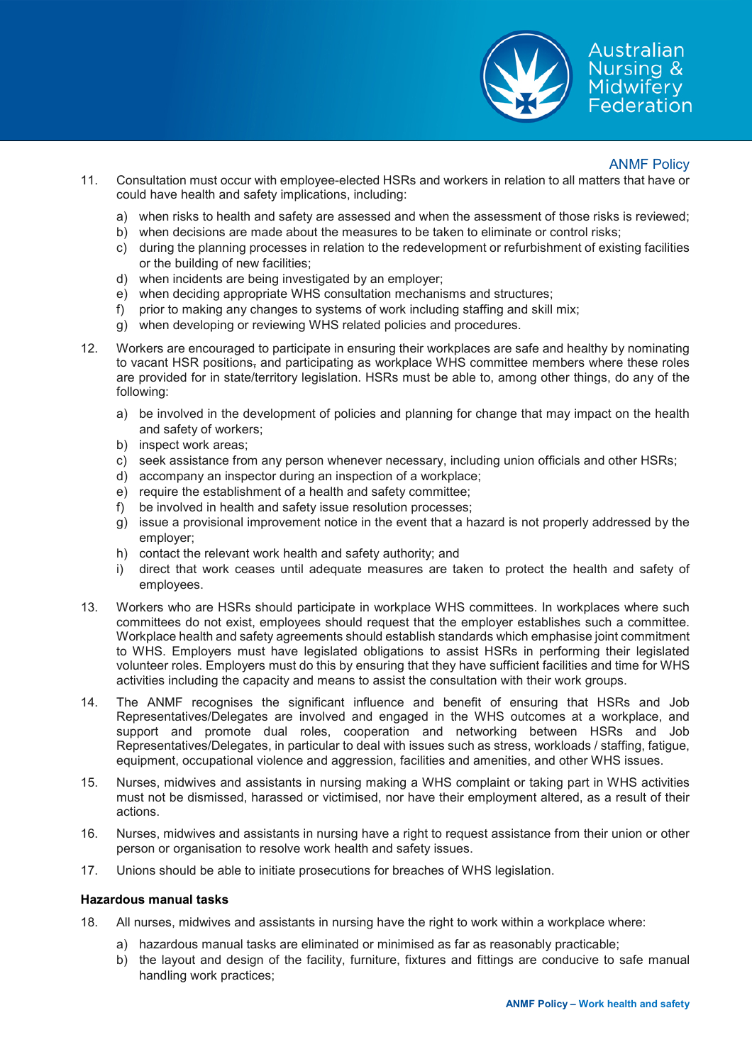

- 11. Consultation must occur with employee-elected HSRs and workers in relation to all matters that have or could have health and safety implications, including:
	- a) when risks to health and safety are assessed and when the assessment of those risks is reviewed;
	- b) when decisions are made about the measures to be taken to eliminate or control risks;
	- c) during the planning processes in relation to the redevelopment or refurbishment of existing facilities or the building of new facilities;
	- d) when incidents are being investigated by an employer;
	- e) when deciding appropriate WHS consultation mechanisms and structures;
	- f) prior to making any changes to systems of work including staffing and skill mix;
	- g) when developing or reviewing WHS related policies and procedures.
- 12. Workers are encouraged to participate in ensuring their workplaces are safe and healthy by nominating to vacant HSR positions, and participating as workplace WHS committee members where these roles are provided for in state/territory legislation. HSRs must be able to, among other things, do any of the following:
	- a) be involved in the development of policies and planning for change that may impact on the health and safety of workers;
	- b) inspect work areas;
	- c) seek assistance from any person whenever necessary, including union officials and other HSRs;
	- d) accompany an inspector during an inspection of a workplace;
	- e) require the establishment of a health and safety committee;
	- f) be involved in health and safety issue resolution processes;
	- g) issue a provisional improvement notice in the event that a hazard is not properly addressed by the employer;
	- h) contact the relevant work health and safety authority; and
	- i) direct that work ceases until adequate measures are taken to protect the health and safety of employees.
- 13. Workers who are HSRs should participate in workplace WHS committees. In workplaces where such committees do not exist, employees should request that the employer establishes such a committee. Workplace health and safety agreements should establish standards which emphasise joint commitment to WHS. Employers must have legislated obligations to assist HSRs in performing their legislated volunteer roles. Employers must do this by ensuring that they have sufficient facilities and time for WHS activities including the capacity and means to assist the consultation with their work groups.
- 14. The ANMF recognises the significant influence and benefit of ensuring that HSRs and Job Representatives/Delegates are involved and engaged in the WHS outcomes at a workplace, and support and promote dual roles, cooperation and networking between HSRs and Job Representatives/Delegates, in particular to deal with issues such as stress, workloads / staffing, fatigue, equipment, occupational violence and aggression, facilities and amenities, and other WHS issues.
- 15. Nurses, midwives and assistants in nursing making a WHS complaint or taking part in WHS activities must not be dismissed, harassed or victimised, nor have their employment altered, as a result of their actions.
- 16. Nurses, midwives and assistants in nursing have a right to request assistance from their union or other person or organisation to resolve work health and safety issues.
- 17. Unions should be able to initiate prosecutions for breaches of WHS legislation.

#### **Hazardous manual tasks**

- 18. All nurses, midwives and assistants in nursing have the right to work within a workplace where:
	- a) hazardous manual tasks are eliminated or minimised as far as reasonably practicable;
	- b) the layout and design of the facility, furniture, fixtures and fittings are conducive to safe manual handling work practices;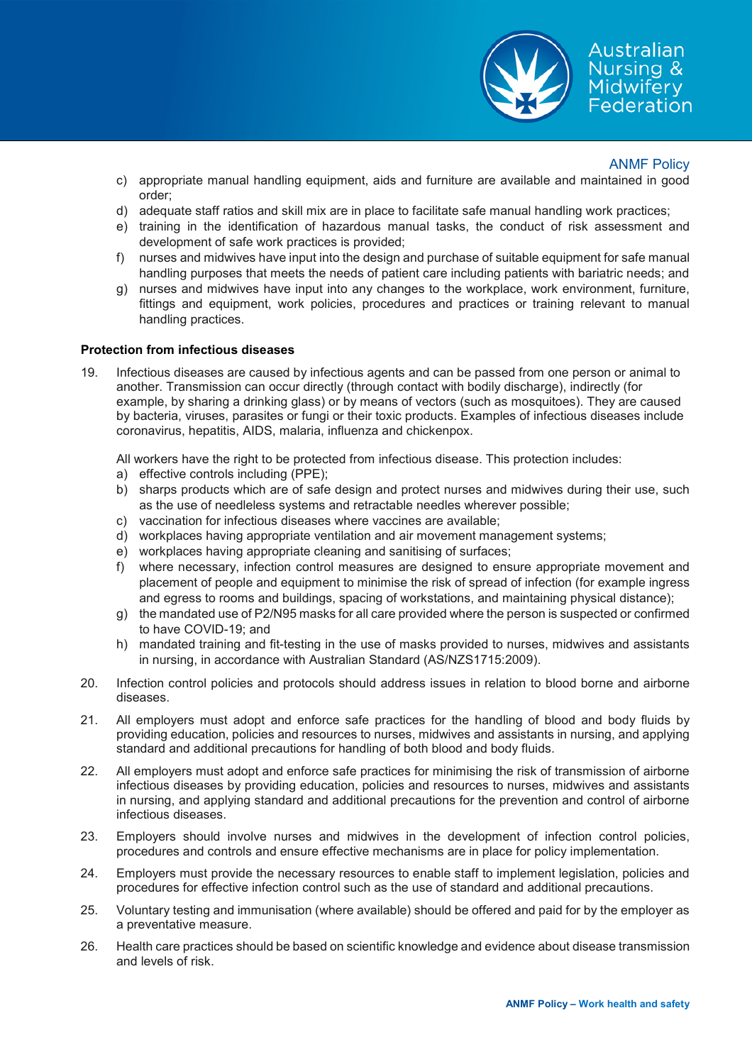

- c) appropriate manual handling equipment, aids and furniture are available and maintained in good order;
- d) adequate staff ratios and skill mix are in place to facilitate safe manual handling work practices;
- e) training in the identification of hazardous manual tasks, the conduct of risk assessment and development of safe work practices is provided;
- f) nurses and midwives have input into the design and purchase of suitable equipment for safe manual handling purposes that meets the needs of patient care including patients with bariatric needs; and
- g) nurses and midwives have input into any changes to the workplace, work environment, furniture, fittings and equipment, work policies, procedures and practices or training relevant to manual handling practices.

### **Protection from infectious diseases**

19. Infectious diseases are caused by infectious agents and can be passed from one person or animal to another. Transmission can occur directly (through contact with bodily discharge), indirectly (for example, by sharing a drinking glass) or by means of vectors (such as mosquitoes). They are caused by bacteria, viruses, parasites or fungi or their toxic products. Examples of infectious diseases include coronavirus, hepatitis, AIDS, malaria, influenza and chickenpox.

All workers have the right to be protected from infectious disease. This protection includes:

- a) effective controls including (PPE);
- b) sharps products which are of safe design and protect nurses and midwives during their use, such as the use of needleless systems and retractable needles wherever possible;
- c) vaccination for infectious diseases where vaccines are available;
- d) workplaces having appropriate ventilation and air movement management systems;
- e) workplaces having appropriate cleaning and sanitising of surfaces;
- f) where necessary, infection control measures are designed to ensure appropriate movement and placement of people and equipment to minimise the risk of spread of infection (for example ingress and egress to rooms and buildings, spacing of workstations, and maintaining physical distance);
- g) the mandated use of P2/N95 masks for all care provided where the person is suspected or confirmed to have COVID-19; and
- h) mandated training and fit-testing in the use of masks provided to nurses, midwives and assistants in nursing, in accordance with Australian Standard (AS/NZS1715:2009).
- 20. Infection control policies and protocols should address issues in relation to blood borne and airborne diseases.
- 21. All employers must adopt and enforce safe practices for the handling of blood and body fluids by providing education, policies and resources to nurses, midwives and assistants in nursing, and applying standard and additional precautions for handling of both blood and body fluids.
- 22. All employers must adopt and enforce safe practices for minimising the risk of transmission of airborne infectious diseases by providing education, policies and resources to nurses, midwives and assistants in nursing, and applying standard and additional precautions for the prevention and control of airborne infectious diseases.
- 23. Employers should involve nurses and midwives in the development of infection control policies, procedures and controls and ensure effective mechanisms are in place for policy implementation.
- 24. Employers must provide the necessary resources to enable staff to implement legislation, policies and procedures for effective infection control such as the use of standard and additional precautions.
- 25. Voluntary testing and immunisation (where available) should be offered and paid for by the employer as a preventative measure.
- 26. Health care practices should be based on scientific knowledge and evidence about disease transmission and levels of risk.